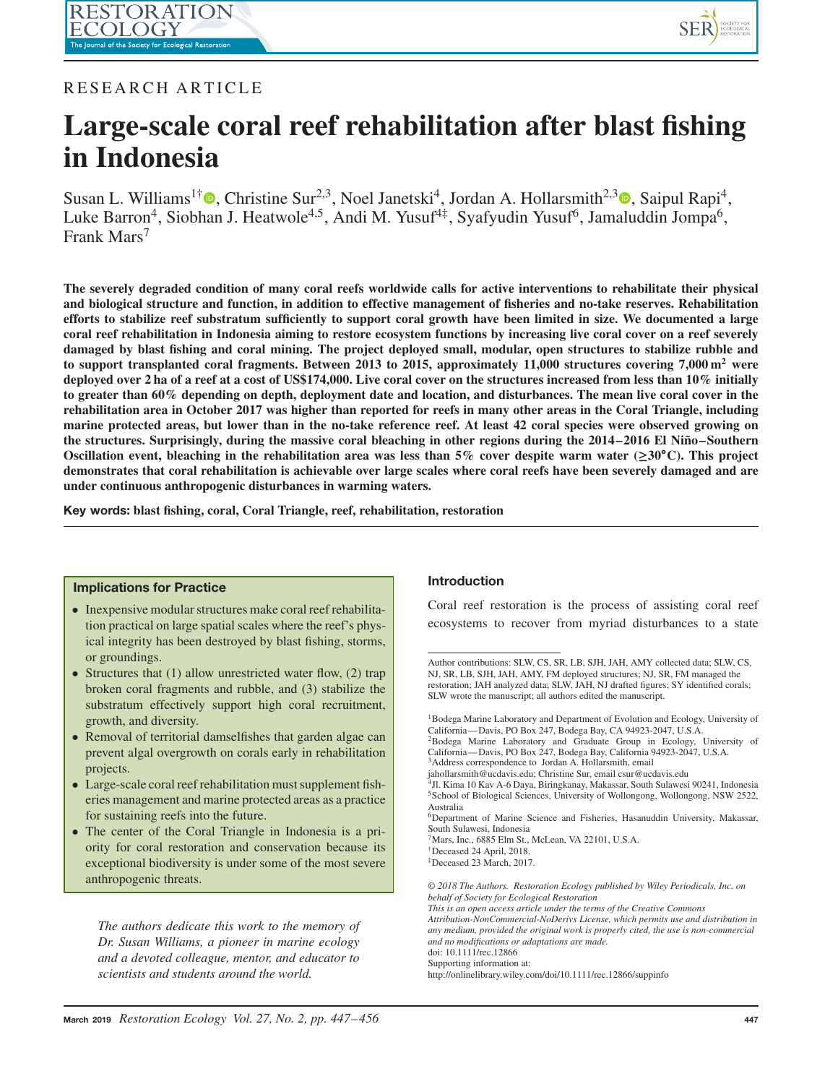

## RESEARCH ARTICLE

# **Large-scale coral reef rehabilitation after blast fishing in Indonesia**

Susan L. Williams<sup>1†</sup> **.** Christine Sur<sup>2[,](http://orcid.org/0000-0002-8758-9801)3</sup>, Noel Janetski<sup>4</sup>, Jordan A. Hollarsmith<sup>2,3</sup> **.** Saipul Rapi<sup>4</sup>, Luke Barron<sup>4</sup>, Siobhan J. Heatwole<sup>4,5</sup>, Andi M. Yusuf<sup>4‡</sup>, Syafyudin Yusuf<sup>6</sup>, Jamaluddin Jompa<sup>6</sup>, Frank Mars<sup>7</sup>

**The severely degraded condition of many coral reefs worldwide calls for active interventions to rehabilitate their physical and biological structure and function, in addition to effective management of fisheries and no-take reserves. Rehabilitation efforts to stabilize reef substratum sufficiently to support coral growth have been limited in size. We documented a large coral reef rehabilitation in Indonesia aiming to restore ecosystem functions by increasing live coral cover on a reef severely damaged by blast fishing and coral mining. The project deployed small, modular, open structures to stabilize rubble and to support transplanted coral fragments. Between 2013 to 2015, approximately 11,000 structures covering 7,000 m2 were deployed over 2 ha of a reef at a cost of US\$174,000. Live coral cover on the structures increased from less than 10% initially to greater than 60% depending on depth, deployment date and location, and disturbances. The mean live coral cover in the rehabilitation area in October 2017 was higher than reported for reefs in many other areas in the Coral Triangle, including marine protected areas, but lower than in the no-take reference reef. At least 42 coral species were observed growing on the structures. Surprisingly, during the massive coral bleaching in other regions during the 2014–2016 El Niño–Southern Oscillation event, bleaching in the rehabilitation area was less than 5% cover despite warm water (≥30∘C). This project demonstrates that coral rehabilitation is achievable over large scales where coral reefs have been severely damaged and are under continuous anthropogenic disturbances in warming waters.**

**Key words: blast fishing, coral, Coral Triangle, reef, rehabilitation, restoration**

### **Implications for Practice**

- Inexpensive modular structures make coral reef rehabilitation practical on large spatial scales where the reef's physical integrity has been destroyed by blast fishing, storms, or groundings.
- Structures that (1) allow unrestricted water flow, (2) trap broken coral fragments and rubble, and (3) stabilize the substratum effectively support high coral recruitment, growth, and diversity.
- Removal of territorial damselfishes that garden algae can prevent algal overgrowth on corals early in rehabilitation projects.
- Large-scale coral reef rehabilitation must supplement fisheries management and marine protected areas as a practice for sustaining reefs into the future.
- The center of the Coral Triangle in Indonesia is a priority for coral restoration and conservation because its exceptional biodiversity is under some of the most severe anthropogenic threats.

*The authors dedicate this work to the memory of Dr. Susan Williams, a pioneer in marine ecology and a devoted colleague, mentor, and educator to scientists and students around the world.*

### **Introduction**

Coral reef restoration is the process of assisting coral reef ecosystems to recover from myriad disturbances to a state

†Deceased 24 April, 2018.

Author contributions: SLW, CS, SR, LB, SJH, JAH, AMY collected data; SLW, CS, NJ, SR, LB, SJH, JAH, AMY, FM deployed structures; NJ, SR, FM managed the restoration; JAH analyzed data; SLW, JAH, NJ drafted figures; SY identified corals; SLW wrote the manuscript; all authors edited the manuscript.

<sup>&</sup>lt;sup>1</sup>Bodega Marine Laboratory and Department of Evolution and Ecology, University of California—Davis, PO Box 247, Bodega Bay, CA 94923-2047, U.S.A.

<sup>2</sup>Bodega Marine Laboratory and Graduate Group in Ecology, University of California—Davis, PO Box 247, Bodega Bay, California 94923-2047, U.S.A. <sup>3</sup>Address correspondence to Jordan A. Hollarsmith, email

jahollarsmith@ucdavis.edu; Christine Sur, email csur@ucdavis.edu

<sup>4</sup>Jl. Kima 10 Kav A-6 Daya, Biringkanay, Makassar, South Sulawesi 90241, Indonesia 5School of Biological Sciences, University of Wollongong, Wollongong, NSW 2522,

Australia 6Department of Marine Science and Fisheries, Hasanuddin University, Makassar, South Sulawesi, Indonesia

 $7$ Mars, Inc., 6885 Elm St., McLean, VA 22101, U.S.A.

<sup>‡</sup>Deceased 23 March, 2017.

*<sup>© 2018</sup> The Authors. Restoration Ecology published by Wiley Periodicals, Inc. on behalf of Society for Ecological Restoration*

*This is an open access article under the terms of the Creative Commons*

*Attribution-NonCommercial-NoDerivs License, which permits use and distribution in any medium, provided the original work is properly cited, the use is non-commercial and no modifications or adaptations are made.*

doi: 10.1111/rec.12866

Supporting information at:

http://onlinelibrary.wiley.com/doi/10.1111/rec.12866/suppinfo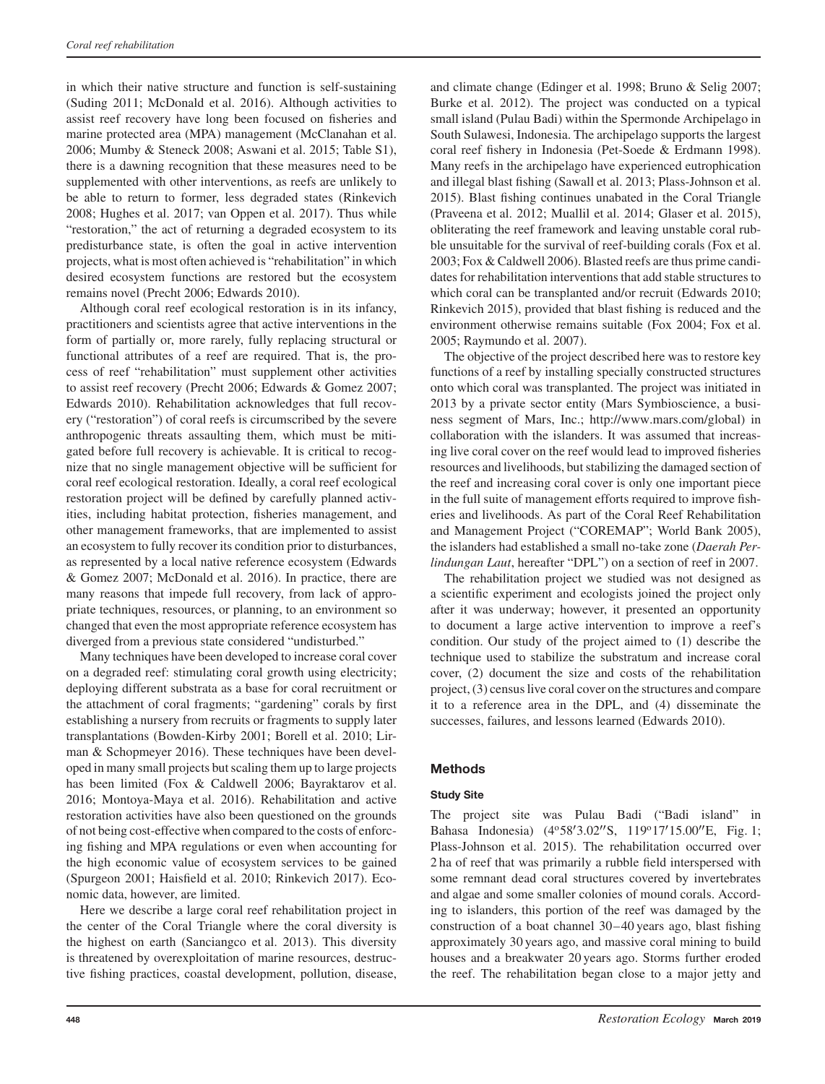in which their native structure and function is self-sustaining (Suding 2011; McDonald et al. 2016). Although activities to assist reef recovery have long been focused on fisheries and marine protected area (MPA) management (McClanahan et al. 2006; Mumby & Steneck 2008; Aswani et al. 2015; Table S1), there is a dawning recognition that these measures need to be supplemented with other interventions, as reefs are unlikely to be able to return to former, less degraded states (Rinkevich 2008; Hughes et al. 2017; van Oppen et al. 2017). Thus while "restoration," the act of returning a degraded ecosystem to its predisturbance state, is often the goal in active intervention projects, what is most often achieved is "rehabilitation" in which desired ecosystem functions are restored but the ecosystem remains novel (Precht 2006; Edwards 2010).

Although coral reef ecological restoration is in its infancy, practitioners and scientists agree that active interventions in the form of partially or, more rarely, fully replacing structural or functional attributes of a reef are required. That is, the process of reef "rehabilitation" must supplement other activities to assist reef recovery (Precht 2006; Edwards & Gomez 2007; Edwards 2010). Rehabilitation acknowledges that full recovery ("restoration") of coral reefs is circumscribed by the severe anthropogenic threats assaulting them, which must be mitigated before full recovery is achievable. It is critical to recognize that no single management objective will be sufficient for coral reef ecological restoration. Ideally, a coral reef ecological restoration project will be defined by carefully planned activities, including habitat protection, fisheries management, and other management frameworks, that are implemented to assist an ecosystem to fully recover its condition prior to disturbances, as represented by a local native reference ecosystem (Edwards & Gomez 2007; McDonald et al. 2016). In practice, there are many reasons that impede full recovery, from lack of appropriate techniques, resources, or planning, to an environment so changed that even the most appropriate reference ecosystem has diverged from a previous state considered "undisturbed."

Many techniques have been developed to increase coral cover on a degraded reef: stimulating coral growth using electricity; deploying different substrata as a base for coral recruitment or the attachment of coral fragments; "gardening" corals by first establishing a nursery from recruits or fragments to supply later transplantations (Bowden-Kirby 2001; Borell et al. 2010; Lirman & Schopmeyer 2016). These techniques have been developed in many small projects but scaling them up to large projects has been limited (Fox & Caldwell 2006; Bayraktarov et al. 2016; Montoya-Maya et al. 2016). Rehabilitation and active restoration activities have also been questioned on the grounds of not being cost-effective when compared to the costs of enforcing fishing and MPA regulations or even when accounting for the high economic value of ecosystem services to be gained (Spurgeon 2001; Haisfield et al. 2010; Rinkevich 2017). Economic data, however, are limited.

Here we describe a large coral reef rehabilitation project in the center of the Coral Triangle where the coral diversity is the highest on earth (Sanciangco et al. 2013). This diversity is threatened by overexploitation of marine resources, destructive fishing practices, coastal development, pollution, disease, and climate change (Edinger et al. 1998; Bruno & Selig 2007; Burke et al. 2012). The project was conducted on a typical small island (Pulau Badi) within the Spermonde Archipelago in South Sulawesi, Indonesia. The archipelago supports the largest coral reef fishery in Indonesia (Pet-Soede & Erdmann 1998). Many reefs in the archipelago have experienced eutrophication and illegal blast fishing (Sawall et al. 2013; Plass-Johnson et al. 2015). Blast fishing continues unabated in the Coral Triangle (Praveena et al. 2012; Muallil et al. 2014; Glaser et al. 2015), obliterating the reef framework and leaving unstable coral rubble unsuitable for the survival of reef-building corals (Fox et al. 2003; Fox & Caldwell 2006). Blasted reefs are thus prime candidates for rehabilitation interventions that add stable structures to which coral can be transplanted and/or recruit (Edwards 2010; Rinkevich 2015), provided that blast fishing is reduced and the environment otherwise remains suitable (Fox 2004; Fox et al. 2005; Raymundo et al. 2007).

The objective of the project described here was to restore key functions of a reef by installing specially constructed structures onto which coral was transplanted. The project was initiated in 2013 by a private sector entity (Mars Symbioscience, a business segment of Mars, Inc.; [http://www.mars.com/global\)](http://www.mars.com/global) in collaboration with the islanders. It was assumed that increasing live coral cover on the reef would lead to improved fisheries resources and livelihoods, but stabilizing the damaged section of the reef and increasing coral cover is only one important piece in the full suite of management efforts required to improve fisheries and livelihoods. As part of the Coral Reef Rehabilitation and Management Project ("COREMAP"; World Bank 2005), the islanders had established a small no-take zone (*Daerah Perlindungan Laut*, hereafter "DPL") on a section of reef in 2007.

The rehabilitation project we studied was not designed as a scientific experiment and ecologists joined the project only after it was underway; however, it presented an opportunity to document a large active intervention to improve a reef's condition. Our study of the project aimed to (1) describe the technique used to stabilize the substratum and increase coral cover, (2) document the size and costs of the rehabilitation project, (3) census live coral cover on the structures and compare it to a reference area in the DPL, and (4) disseminate the successes, failures, and lessons learned (Edwards 2010).

## **Methods**

## **Study Site**

The project site was Pulau Badi ("Badi island" in Bahasa Indonesia) (4°58'3.02"S, 119°17'15.00"E, Fig. 1; Plass-Johnson et al. 2015). The rehabilitation occurred over 2 ha of reef that was primarily a rubble field interspersed with some remnant dead coral structures covered by invertebrates and algae and some smaller colonies of mound corals. According to islanders, this portion of the reef was damaged by the construction of a boat channel 30–40 years ago, blast fishing approximately 30 years ago, and massive coral mining to build houses and a breakwater 20 years ago. Storms further eroded the reef. The rehabilitation began close to a major jetty and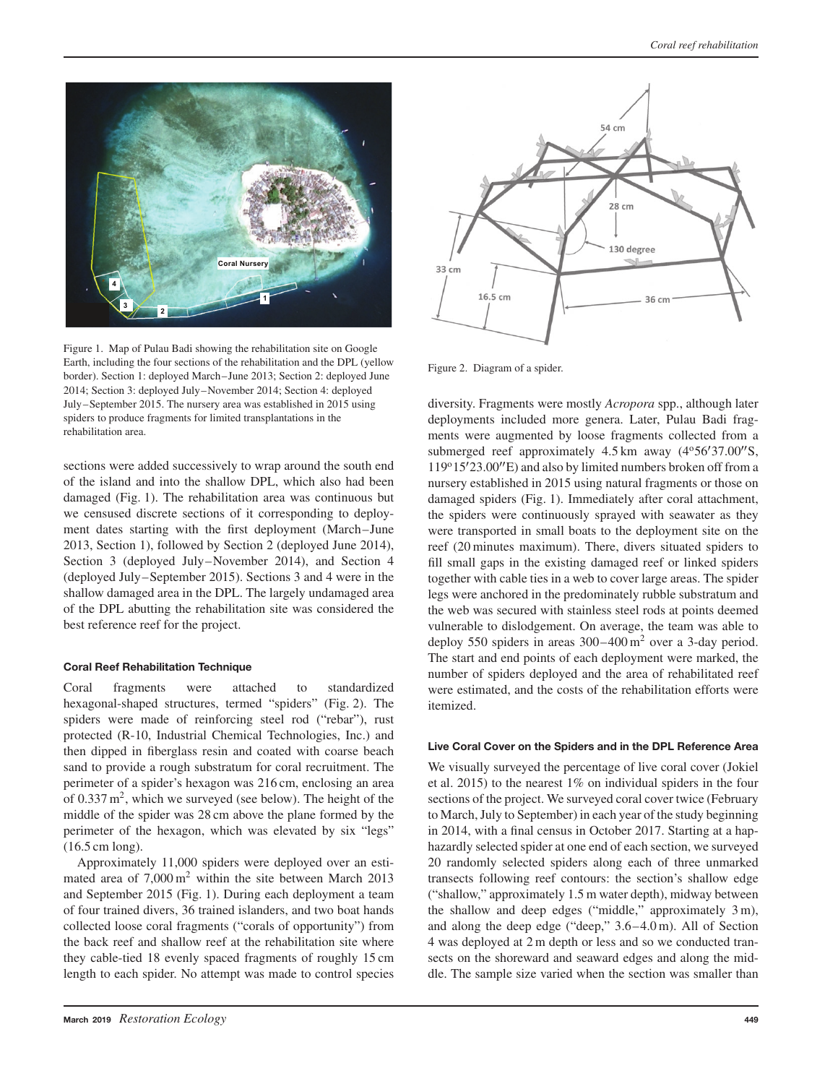

Figure 1. Map of Pulau Badi showing the rehabilitation site on Google Earth, including the four sections of the rehabilitation and the DPL (yellow border). Section 1: deployed March–June 2013; Section 2: deployed June 2014; Section 3: deployed July–November 2014; Section 4: deployed July–September 2015. The nursery area was established in 2015 using spiders to produce fragments for limited transplantations in the rehabilitation area.

sections were added successively to wrap around the south end of the island and into the shallow DPL, which also had been damaged (Fig. 1). The rehabilitation area was continuous but we censused discrete sections of it corresponding to deployment dates starting with the first deployment (March–June 2013, Section 1), followed by Section 2 (deployed June 2014), Section 3 (deployed July–November 2014), and Section 4 (deployed July–September 2015). Sections 3 and 4 were in the shallow damaged area in the DPL. The largely undamaged area of the DPL abutting the rehabilitation site was considered the best reference reef for the project.

#### **Coral Reef Rehabilitation Technique**

Coral fragments were attached to standardized hexagonal-shaped structures, termed "spiders" (Fig. 2). The spiders were made of reinforcing steel rod ("rebar"), rust protected (R-10, Industrial Chemical Technologies, Inc.) and then dipped in fiberglass resin and coated with coarse beach sand to provide a rough substratum for coral recruitment. The perimeter of a spider's hexagon was 216 cm, enclosing an area of  $0.337 \text{ m}^2$ , which we surveyed (see below). The height of the middle of the spider was 28 cm above the plane formed by the perimeter of the hexagon, which was elevated by six "legs" (16.5 cm long).

Approximately 11,000 spiders were deployed over an estimated area of  $7,000 \,\mathrm{m}^2$  within the site between March 2013 and September 2015 (Fig. 1). During each deployment a team of four trained divers, 36 trained islanders, and two boat hands collected loose coral fragments ("corals of opportunity") from the back reef and shallow reef at the rehabilitation site where they cable-tied 18 evenly spaced fragments of roughly 15 cm length to each spider. No attempt was made to control species



Figure 2. Diagram of a spider.

diversity. Fragments were mostly *Acropora* spp., although later deployments included more genera. Later, Pulau Badi fragments were augmented by loose fragments collected from a submerged reef approximately 4.5 km away (4°56'37.00"S, 119°15′23.00″E) and also by limited numbers broken off from a nursery established in 2015 using natural fragments or those on damaged spiders (Fig. 1). Immediately after coral attachment, the spiders were continuously sprayed with seawater as they were transported in small boats to the deployment site on the reef (20 minutes maximum). There, divers situated spiders to fill small gaps in the existing damaged reef or linked spiders together with cable ties in a web to cover large areas. The spider legs were anchored in the predominately rubble substratum and the web was secured with stainless steel rods at points deemed vulnerable to dislodgement. On average, the team was able to deploy 550 spiders in areas  $300-400 \text{ m}^2$  over a 3-day period. The start and end points of each deployment were marked, the number of spiders deployed and the area of rehabilitated reef were estimated, and the costs of the rehabilitation efforts were itemized.

### **Live Coral Cover on the Spiders and in the DPL Reference Area**

We visually surveyed the percentage of live coral cover (Jokiel et al. 2015) to the nearest 1% on individual spiders in the four sections of the project. We surveyed coral cover twice (February to March, July to September) in each year of the study beginning in 2014, with a final census in October 2017. Starting at a haphazardly selected spider at one end of each section, we surveyed 20 randomly selected spiders along each of three unmarked transects following reef contours: the section's shallow edge ("shallow," approximately 1.5 m water depth), midway between the shallow and deep edges ("middle," approximately 3 m), and along the deep edge ("deep," 3.6–4.0 m). All of Section 4 was deployed at 2 m depth or less and so we conducted transects on the shoreward and seaward edges and along the middle. The sample size varied when the section was smaller than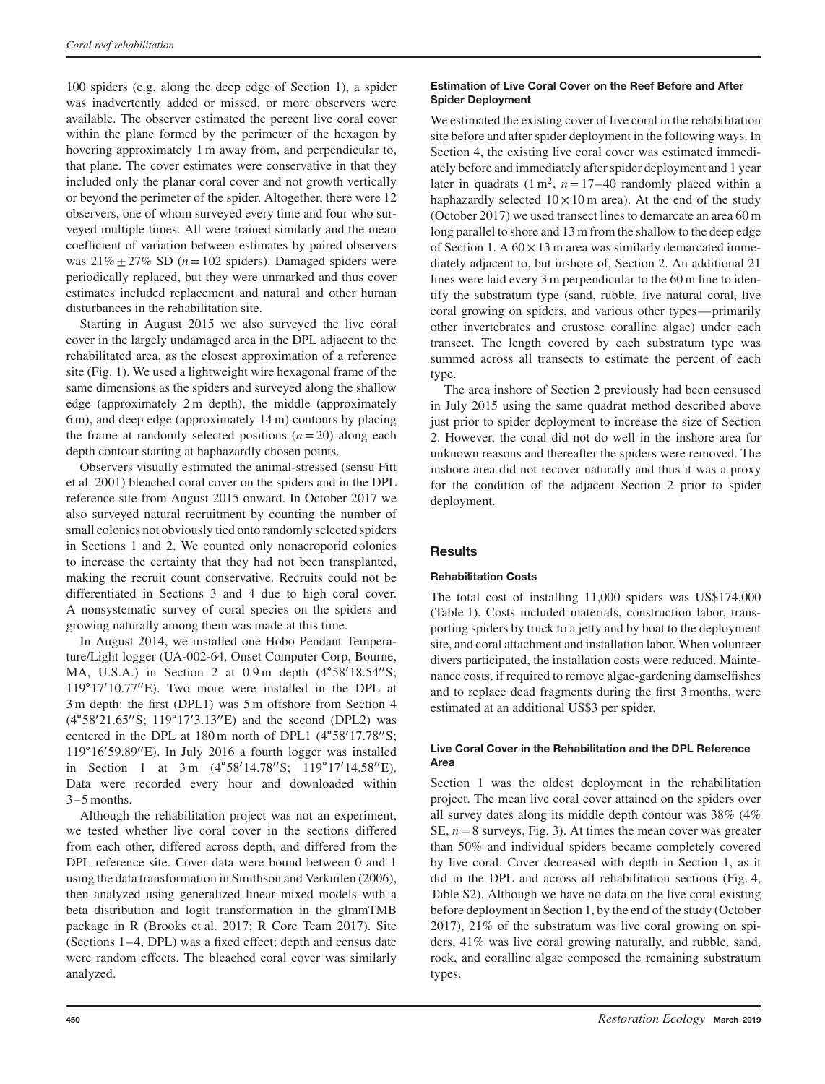100 spiders (e.g. along the deep edge of Section 1), a spider was inadvertently added or missed, or more observers were available. The observer estimated the percent live coral cover within the plane formed by the perimeter of the hexagon by hovering approximately 1 m away from, and perpendicular to, that plane. The cover estimates were conservative in that they included only the planar coral cover and not growth vertically or beyond the perimeter of the spider. Altogether, there were 12 observers, one of whom surveyed every time and four who surveyed multiple times. All were trained similarly and the mean coefficient of variation between estimates by paired observers was  $21\% \pm 27\%$  SD ( $n = 102$  spiders). Damaged spiders were periodically replaced, but they were unmarked and thus cover estimates included replacement and natural and other human disturbances in the rehabilitation site.

Starting in August 2015 we also surveyed the live coral cover in the largely undamaged area in the DPL adjacent to the rehabilitated area, as the closest approximation of a reference site (Fig. 1). We used a lightweight wire hexagonal frame of the same dimensions as the spiders and surveyed along the shallow edge (approximately 2 m depth), the middle (approximately 6 m), and deep edge (approximately 14 m) contours by placing the frame at randomly selected positions  $(n=20)$  along each depth contour starting at haphazardly chosen points.

Observers visually estimated the animal-stressed (sensu Fitt et al. 2001) bleached coral cover on the spiders and in the DPL reference site from August 2015 onward. In October 2017 we also surveyed natural recruitment by counting the number of small colonies not obviously tied onto randomly selected spiders in Sections 1 and 2. We counted only nonacroporid colonies to increase the certainty that they had not been transplanted, making the recruit count conservative. Recruits could not be differentiated in Sections 3 and 4 due to high coral cover. A nonsystematic survey of coral species on the spiders and growing naturally among them was made at this time.

In August 2014, we installed one Hobo Pendant Temperature/Light logger (UA-002-64, Onset Computer Corp, Bourne, MA, U.S.A.) in Section 2 at 0.9 m depth (4°58′18.54″S; 119∘17′ 10.77′′E). Two more were installed in the DPL at 3 m depth: the first (DPL1) was 5 m offshore from Section 4 (4°58′21.65″S; 119°17′3.13″E) and the second (DPL2) was centered in the DPL at 180 m north of DPL1 (4∘58′ 17.78′′S; 119∘16′ 59.89′′E). In July 2016 a fourth logger was installed in Section 1 at 3 m (4°58′14.78″S; 119°17′14.58″E). Data were recorded every hour and downloaded within 3–5 months.

Although the rehabilitation project was not an experiment, we tested whether live coral cover in the sections differed from each other, differed across depth, and differed from the DPL reference site. Cover data were bound between 0 and 1 using the data transformation in Smithson and Verkuilen (2006), then analyzed using generalized linear mixed models with a beta distribution and logit transformation in the glmmTMB package in R (Brooks et al. 2017; R Core Team 2017). Site (Sections 1–4, DPL) was a fixed effect; depth and census date were random effects. The bleached coral cover was similarly analyzed.

## **Estimation of Live Coral Cover on the Reef Before and After Spider Deployment**

We estimated the existing cover of live coral in the rehabilitation site before and after spider deployment in the following ways. In Section 4, the existing live coral cover was estimated immediately before and immediately after spider deployment and 1 year later in quadrats  $(1 \text{ m}^2, n = 17-40 \text{ randomly placed within a})$ haphazardly selected  $10 \times 10$  m area). At the end of the study (October 2017) we used transect lines to demarcate an area 60 m long parallel to shore and 13 m from the shallow to the deep edge of Section 1. A  $60 \times 13$  m area was similarly demarcated immediately adjacent to, but inshore of, Section 2. An additional 21 lines were laid every 3 m perpendicular to the 60 m line to identify the substratum type (sand, rubble, live natural coral, live coral growing on spiders, and various other types—primarily other invertebrates and crustose coralline algae) under each transect. The length covered by each substratum type was summed across all transects to estimate the percent of each type.

The area inshore of Section 2 previously had been censused in July 2015 using the same quadrat method described above just prior to spider deployment to increase the size of Section 2. However, the coral did not do well in the inshore area for unknown reasons and thereafter the spiders were removed. The inshore area did not recover naturally and thus it was a proxy for the condition of the adjacent Section 2 prior to spider deployment.

## **Results**

## **Rehabilitation Costs**

The total cost of installing 11,000 spiders was US\$174,000 (Table 1). Costs included materials, construction labor, transporting spiders by truck to a jetty and by boat to the deployment site, and coral attachment and installation labor. When volunteer divers participated, the installation costs were reduced. Maintenance costs, if required to remove algae-gardening damselfishes and to replace dead fragments during the first 3 months, were estimated at an additional US\$3 per spider.

## **Live Coral Cover in the Rehabilitation and the DPL Reference Area**

Section 1 was the oldest deployment in the rehabilitation project. The mean live coral cover attained on the spiders over all survey dates along its middle depth contour was 38% (4% SE,  $n=8$  surveys, Fig. 3). At times the mean cover was greater than 50% and individual spiders became completely covered by live coral. Cover decreased with depth in Section 1, as it did in the DPL and across all rehabilitation sections (Fig. 4, Table S2). Although we have no data on the live coral existing before deployment in Section 1, by the end of the study (October 2017), 21% of the substratum was live coral growing on spiders, 41% was live coral growing naturally, and rubble, sand, rock, and coralline algae composed the remaining substratum types.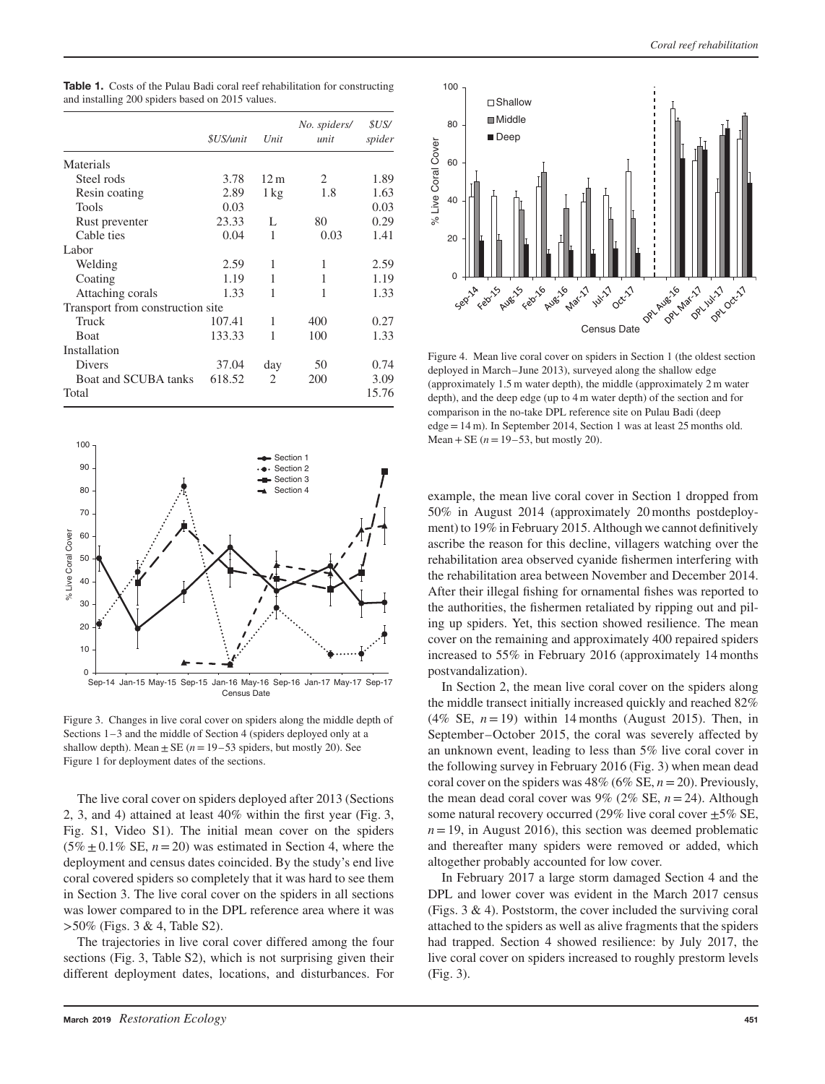|                                  |                         |                               | No. spiders/ | <i>SUS/</i> |
|----------------------------------|-------------------------|-------------------------------|--------------|-------------|
|                                  | <i><b>\$US/unit</b></i> | Unit                          | unit         | spider      |
| Materials                        |                         |                               |              |             |
| Steel rods                       | 3.78                    | 12 <sub>m</sub>               | 2            | 1.89        |
| Resin coating                    | 2.89                    | $1 \text{ kg}$                | 1.8          | 1.63        |
| Tools                            | 0.03                    |                               |              | 0.03        |
| Rust preventer                   | 23.33                   | L                             | 80           | 0.29        |
| Cable ties                       | 0.04                    | 1                             | 0.03         | 1.41        |
| Labor                            |                         |                               |              |             |
| Welding                          | 2.59                    | 1                             | 1            | 2.59        |
| Coating                          | 1.19                    | 1                             | 1            | 1.19        |
| Attaching corals                 | 1.33                    | 1                             | 1            | 1.33        |
| Transport from construction site |                         |                               |              |             |
| Truck                            | 107.41                  | 1                             | 400          | 0.27        |
| <b>Boat</b>                      | 133.33                  | 1                             | 100          | 1.33        |
| Installation                     |                         |                               |              |             |
| <b>Divers</b>                    | 37.04                   | day                           | 50           | 0.74        |
| Boat and SCUBA tanks             | 618.52                  | $\mathfrak{D}_{\mathfrak{p}}$ | 200          | 3.09        |
| Total                            |                         |                               |              | 15.76       |





Figure 3. Changes in live coral cover on spiders along the middle depth of Sections 1–3 and the middle of Section 4 (spiders deployed only at a shallow depth). Mean  $\pm$  SE ( $n = 19-53$  spiders, but mostly 20). See Figure 1 for deployment dates of the sections.

The live coral cover on spiders deployed after 2013 (Sections 2, 3, and 4) attained at least 40% within the first year (Fig. 3, Fig. S1, Video S1). The initial mean cover on the spiders  $(5\% \pm 0.1\% \text{ SE}, n = 20)$  was estimated in Section 4, where the deployment and census dates coincided. By the study's end live coral covered spiders so completely that it was hard to see them in Section 3. The live coral cover on the spiders in all sections was lower compared to in the DPL reference area where it was *>*50% (Figs. 3 & 4, Table S2).

The trajectories in live coral cover differed among the four sections (Fig. 3, Table S2), which is not surprising given their different deployment dates, locations, and disturbances. For



Figure 4. Mean live coral cover on spiders in Section 1 (the oldest section deployed in March–June 2013), surveyed along the shallow edge (approximately 1.5 m water depth), the middle (approximately 2 m water depth), and the deep edge (up to 4 m water depth) of the section and for comparison in the no-take DPL reference site on Pulau Badi (deep edge=14 m). In September 2014, Section 1 was at least 25 months old. Mean + SE ( $n = 19-53$ , but mostly 20).

example, the mean live coral cover in Section 1 dropped from 50% in August 2014 (approximately 20 months postdeployment) to 19% in February 2015. Although we cannot definitively ascribe the reason for this decline, villagers watching over the rehabilitation area observed cyanide fishermen interfering with the rehabilitation area between November and December 2014. After their illegal fishing for ornamental fishes was reported to the authorities, the fishermen retaliated by ripping out and piling up spiders. Yet, this section showed resilience. The mean cover on the remaining and approximately 400 repaired spiders increased to 55% in February 2016 (approximately 14 months postvandalization).

In Section 2, the mean live coral cover on the spiders along the middle transect initially increased quickly and reached 82% (4% SE, *n*=19) within 14 months (August 2015). Then, in September–October 2015, the coral was severely affected by an unknown event, leading to less than 5% live coral cover in the following survey in February 2016 (Fig. 3) when mean dead coral cover on the spiders was 48% (6% SE, *n*=20). Previously, the mean dead coral cover was  $9\%$  ( $2\%$  SE,  $n = 24$ ). Although some natural recovery occurred (29% live coral cover  $\pm$  5% SE,  $n = 19$ , in August 2016), this section was deemed problematic and thereafter many spiders were removed or added, which altogether probably accounted for low cover.

In February 2017 a large storm damaged Section 4 and the DPL and lower cover was evident in the March 2017 census (Figs. 3 & 4). Poststorm, the cover included the surviving coral attached to the spiders as well as alive fragments that the spiders had trapped. Section 4 showed resilience: by July 2017, the live coral cover on spiders increased to roughly prestorm levels (Fig. 3).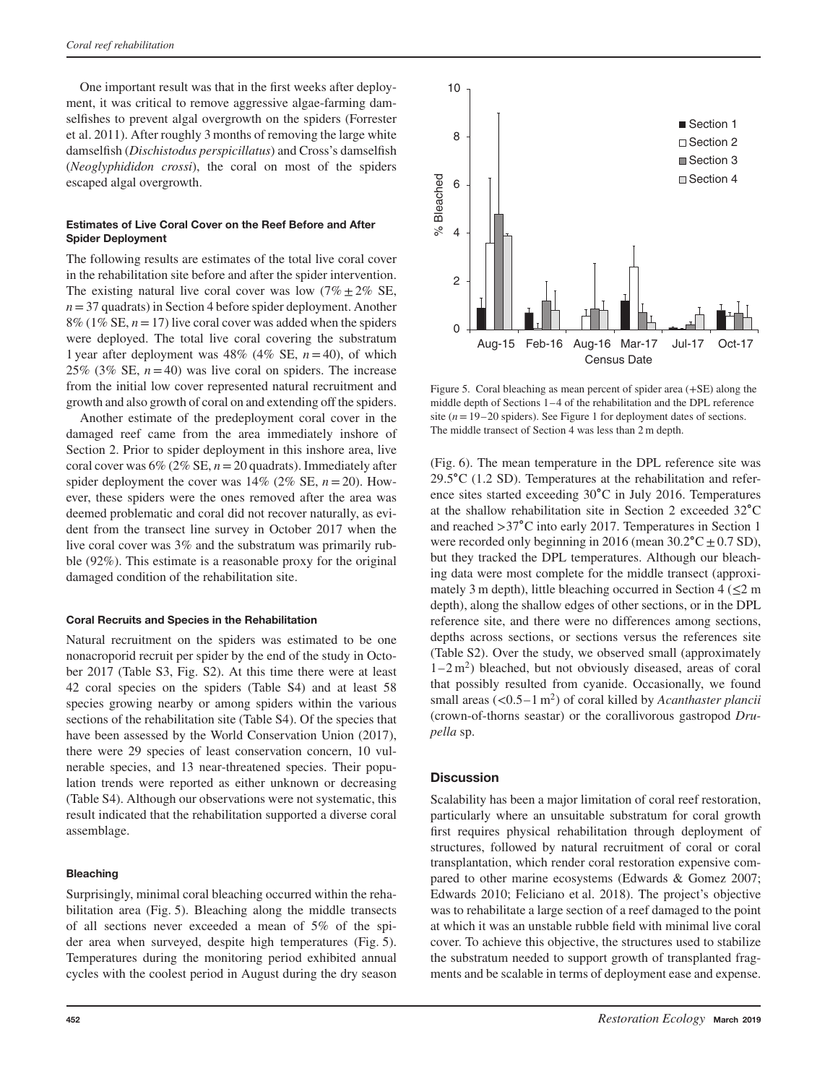One important result was that in the first weeks after deployment, it was critical to remove aggressive algae-farming damselfishes to prevent algal overgrowth on the spiders (Forrester et al. 2011). After roughly 3 months of removing the large white damselfish (*Dischistodus perspicillatus*) and Cross's damselfish (*Neoglyphididon crossi*), the coral on most of the spiders escaped algal overgrowth.

#### **Estimates of Live Coral Cover on the Reef Before and After Spider Deployment**

The following results are estimates of the total live coral cover in the rehabilitation site before and after the spider intervention. The existing natural live coral cover was low  $(7\% \pm 2\% \text{ SE},$  $n=37$  quadrats) in Section 4 before spider deployment. Another  $8\%$  (1% SE,  $n = 17$ ) live coral cover was added when the spiders were deployed. The total live coral covering the substratum 1 year after deployment was  $48\%$  ( $4\%$  SE,  $n=40$ ), of which 25% (3% SE,  $n=40$ ) was live coral on spiders. The increase from the initial low cover represented natural recruitment and growth and also growth of coral on and extending off the spiders.

Another estimate of the predeployment coral cover in the damaged reef came from the area immediately inshore of Section 2. Prior to spider deployment in this inshore area, live coral cover was  $6\%$  ( $2\%$  SE,  $n=20$  quadrats). Immediately after spider deployment the cover was  $14\%$  ( $2\%$  SE,  $n = 20$ ). However, these spiders were the ones removed after the area was deemed problematic and coral did not recover naturally, as evident from the transect line survey in October 2017 when the live coral cover was 3% and the substratum was primarily rubble (92%). This estimate is a reasonable proxy for the original damaged condition of the rehabilitation site.

#### **Coral Recruits and Species in the Rehabilitation**

Natural recruitment on the spiders was estimated to be one nonacroporid recruit per spider by the end of the study in October 2017 (Table S3, Fig. S2). At this time there were at least 42 coral species on the spiders (Table S4) and at least 58 species growing nearby or among spiders within the various sections of the rehabilitation site (Table S4). Of the species that have been assessed by the World Conservation Union (2017), there were 29 species of least conservation concern, 10 vulnerable species, and 13 near-threatened species. Their population trends were reported as either unknown or decreasing (Table S4). Although our observations were not systematic, this result indicated that the rehabilitation supported a diverse coral assemblage.

#### **Bleaching**

Surprisingly, minimal coral bleaching occurred within the rehabilitation area (Fig. 5). Bleaching along the middle transects of all sections never exceeded a mean of 5% of the spider area when surveyed, despite high temperatures (Fig. 5). Temperatures during the monitoring period exhibited annual cycles with the coolest period in August during the dry season



Figure 5. Coral bleaching as mean percent of spider area (+SE) along the middle depth of Sections 1–4 of the rehabilitation and the DPL reference site  $(n=19-20$  spiders). See Figure 1 for deployment dates of sections. The middle transect of Section 4 was less than 2 m depth.

(Fig. 6). The mean temperature in the DPL reference site was 29.5∘C (1.2 SD). Temperatures at the rehabilitation and reference sites started exceeding 30∘C in July 2016. Temperatures at the shallow rehabilitation site in Section 2 exceeded 32∘C and reached *>*37∘C into early 2017. Temperatures in Section 1 were recorded only beginning in 2016 (mean  $30.2$ °C ± 0.7 SD), but they tracked the DPL temperatures. Although our bleaching data were most complete for the middle transect (approximately 3 m depth), little bleaching occurred in Section 4 ( $\leq 2$  m depth), along the shallow edges of other sections, or in the DPL reference site, and there were no differences among sections, depths across sections, or sections versus the references site (Table S2). Over the study, we observed small (approximately  $1-2$  m<sup>2</sup>) bleached, but not obviously diseased, areas of coral that possibly resulted from cyanide. Occasionally, we found small areas (*<*0.5–1 m2) of coral killed by *Acanthaster plancii* (crown-of-thorns seastar) or the corallivorous gastropod *Drupella* sp.

## **Discussion**

Scalability has been a major limitation of coral reef restoration, particularly where an unsuitable substratum for coral growth first requires physical rehabilitation through deployment of structures, followed by natural recruitment of coral or coral transplantation, which render coral restoration expensive compared to other marine ecosystems (Edwards & Gomez 2007; Edwards 2010; Feliciano et al. 2018). The project's objective was to rehabilitate a large section of a reef damaged to the point at which it was an unstable rubble field with minimal live coral cover. To achieve this objective, the structures used to stabilize the substratum needed to support growth of transplanted fragments and be scalable in terms of deployment ease and expense.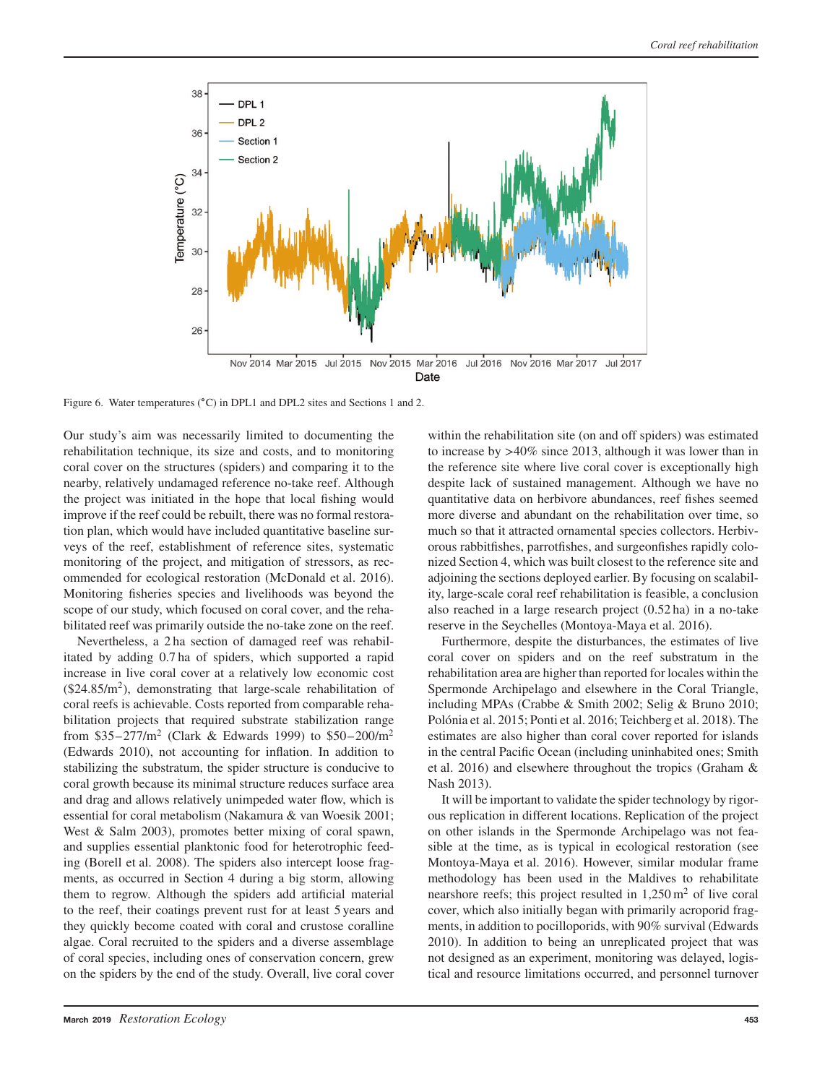

Figure 6. Water temperatures (∘C) in DPL1 and DPL2 sites and Sections 1 and 2.

Our study's aim was necessarily limited to documenting the rehabilitation technique, its size and costs, and to monitoring coral cover on the structures (spiders) and comparing it to the nearby, relatively undamaged reference no-take reef. Although the project was initiated in the hope that local fishing would improve if the reef could be rebuilt, there was no formal restoration plan, which would have included quantitative baseline surveys of the reef, establishment of reference sites, systematic monitoring of the project, and mitigation of stressors, as recommended for ecological restoration (McDonald et al. 2016). Monitoring fisheries species and livelihoods was beyond the scope of our study, which focused on coral cover, and the rehabilitated reef was primarily outside the no-take zone on the reef.

Nevertheless, a 2 ha section of damaged reef was rehabilitated by adding 0.7 ha of spiders, which supported a rapid increase in live coral cover at a relatively low economic cost  $($24.85/m<sup>2</sup>)$ , demonstrating that large-scale rehabilitation of coral reefs is achievable. Costs reported from comparable rehabilitation projects that required substrate stabilization range from \$35–277/ $m^2$  (Clark & Edwards 1999) to \$50–200/ $m^2$ (Edwards 2010), not accounting for inflation. In addition to stabilizing the substratum, the spider structure is conducive to coral growth because its minimal structure reduces surface area and drag and allows relatively unimpeded water flow, which is essential for coral metabolism (Nakamura & van Woesik 2001; West & Salm 2003), promotes better mixing of coral spawn, and supplies essential planktonic food for heterotrophic feeding (Borell et al. 2008). The spiders also intercept loose fragments, as occurred in Section 4 during a big storm, allowing them to regrow. Although the spiders add artificial material to the reef, their coatings prevent rust for at least 5 years and they quickly become coated with coral and crustose coralline algae. Coral recruited to the spiders and a diverse assemblage of coral species, including ones of conservation concern, grew on the spiders by the end of the study. Overall, live coral cover

within the rehabilitation site (on and off spiders) was estimated to increase by *>*40% since 2013, although it was lower than in the reference site where live coral cover is exceptionally high despite lack of sustained management. Although we have no quantitative data on herbivore abundances, reef fishes seemed more diverse and abundant on the rehabilitation over time, so much so that it attracted ornamental species collectors. Herbivorous rabbitfishes, parrotfishes, and surgeonfishes rapidly colonized Section 4, which was built closest to the reference site and adjoining the sections deployed earlier. By focusing on scalability, large-scale coral reef rehabilitation is feasible, a conclusion also reached in a large research project (0.52 ha) in a no-take reserve in the Seychelles (Montoya-Maya et al. 2016).

Furthermore, despite the disturbances, the estimates of live coral cover on spiders and on the reef substratum in the rehabilitation area are higher than reported for locales within the Spermonde Archipelago and elsewhere in the Coral Triangle, including MPAs (Crabbe & Smith 2002; Selig & Bruno 2010; Polónia et al. 2015; Ponti et al. 2016; Teichberg et al. 2018). The estimates are also higher than coral cover reported for islands in the central Pacific Ocean (including uninhabited ones; Smith et al. 2016) and elsewhere throughout the tropics (Graham & Nash 2013).

It will be important to validate the spider technology by rigorous replication in different locations. Replication of the project on other islands in the Spermonde Archipelago was not feasible at the time, as is typical in ecological restoration (see Montoya-Maya et al. 2016). However, similar modular frame methodology has been used in the Maldives to rehabilitate nearshore reefs; this project resulted in  $1,250 \,\mathrm{m}^2$  of live coral cover, which also initially began with primarily acroporid fragments, in addition to pocilloporids, with 90% survival (Edwards 2010). In addition to being an unreplicated project that was not designed as an experiment, monitoring was delayed, logistical and resource limitations occurred, and personnel turnover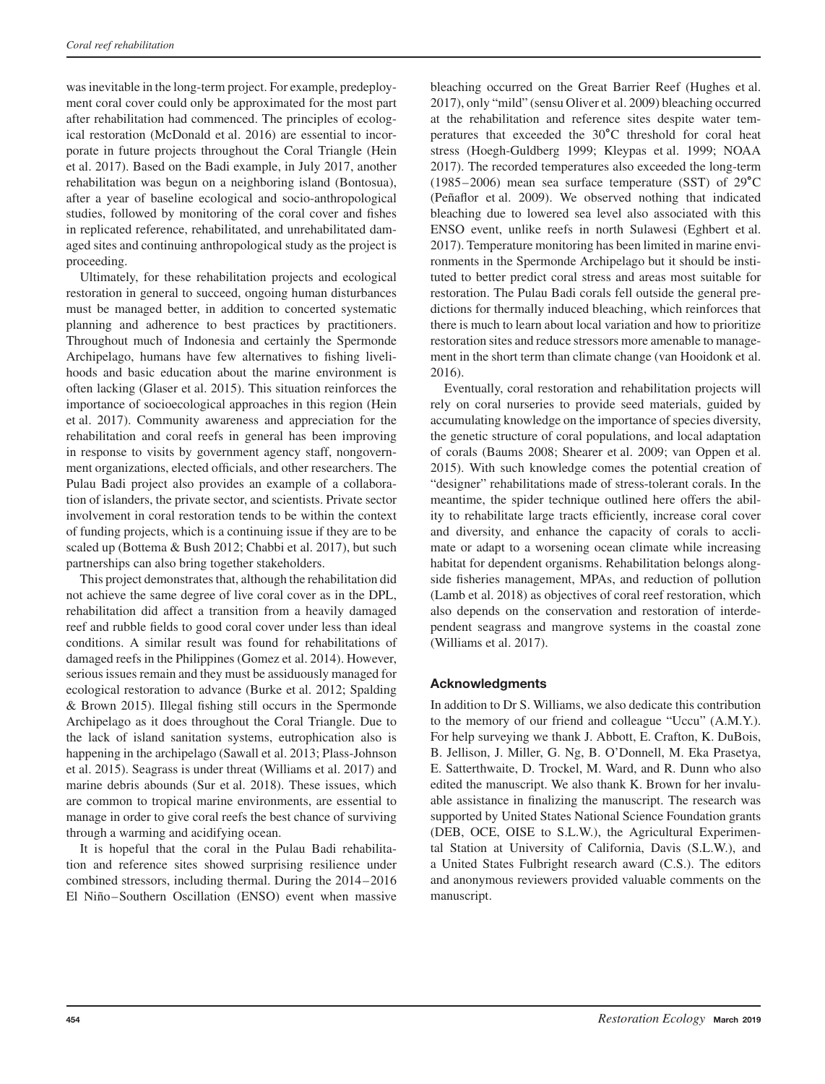was inevitable in the long-term project. For example, predeployment coral cover could only be approximated for the most part after rehabilitation had commenced. The principles of ecological restoration (McDonald et al. 2016) are essential to incorporate in future projects throughout the Coral Triangle (Hein et al. 2017). Based on the Badi example, in July 2017, another rehabilitation was begun on a neighboring island (Bontosua), after a year of baseline ecological and socio-anthropological studies, followed by monitoring of the coral cover and fishes in replicated reference, rehabilitated, and unrehabilitated damaged sites and continuing anthropological study as the project is proceeding.

Ultimately, for these rehabilitation projects and ecological restoration in general to succeed, ongoing human disturbances must be managed better, in addition to concerted systematic planning and adherence to best practices by practitioners. Throughout much of Indonesia and certainly the Spermonde Archipelago, humans have few alternatives to fishing livelihoods and basic education about the marine environment is often lacking (Glaser et al. 2015). This situation reinforces the importance of socioecological approaches in this region (Hein et al. 2017). Community awareness and appreciation for the rehabilitation and coral reefs in general has been improving in response to visits by government agency staff, nongovernment organizations, elected officials, and other researchers. The Pulau Badi project also provides an example of a collaboration of islanders, the private sector, and scientists. Private sector involvement in coral restoration tends to be within the context of funding projects, which is a continuing issue if they are to be scaled up (Bottema & Bush 2012; Chabbi et al. 2017), but such partnerships can also bring together stakeholders.

This project demonstrates that, although the rehabilitation did not achieve the same degree of live coral cover as in the DPL, rehabilitation did affect a transition from a heavily damaged reef and rubble fields to good coral cover under less than ideal conditions. A similar result was found for rehabilitations of damaged reefs in the Philippines (Gomez et al. 2014). However, serious issues remain and they must be assiduously managed for ecological restoration to advance (Burke et al. 2012; Spalding & Brown 2015). Illegal fishing still occurs in the Spermonde Archipelago as it does throughout the Coral Triangle. Due to the lack of island sanitation systems, eutrophication also is happening in the archipelago (Sawall et al. 2013; Plass-Johnson et al. 2015). Seagrass is under threat (Williams et al. 2017) and marine debris abounds (Sur et al. 2018). These issues, which are common to tropical marine environments, are essential to manage in order to give coral reefs the best chance of surviving through a warming and acidifying ocean.

It is hopeful that the coral in the Pulau Badi rehabilitation and reference sites showed surprising resilience under combined stressors, including thermal. During the 2014–2016 El Niño–Southern Oscillation (ENSO) event when massive bleaching occurred on the Great Barrier Reef (Hughes et al. 2017), only "mild" (sensu Oliver et al. 2009) bleaching occurred at the rehabilitation and reference sites despite water temperatures that exceeded the 30∘C threshold for coral heat stress (Hoegh-Guldberg 1999; Kleypas et al. 1999; NOAA 2017). The recorded temperatures also exceeded the long-term (1985–2006) mean sea surface temperature (SST) of 29∘C (Peñaflor et al. 2009). We observed nothing that indicated bleaching due to lowered sea level also associated with this ENSO event, unlike reefs in north Sulawesi (Eghbert et al. 2017). Temperature monitoring has been limited in marine environments in the Spermonde Archipelago but it should be instituted to better predict coral stress and areas most suitable for restoration. The Pulau Badi corals fell outside the general predictions for thermally induced bleaching, which reinforces that there is much to learn about local variation and how to prioritize restoration sites and reduce stressors more amenable to management in the short term than climate change (van Hooidonk et al. 2016).

Eventually, coral restoration and rehabilitation projects will rely on coral nurseries to provide seed materials, guided by accumulating knowledge on the importance of species diversity, the genetic structure of coral populations, and local adaptation of corals (Baums 2008; Shearer et al. 2009; van Oppen et al. 2015). With such knowledge comes the potential creation of "designer" rehabilitations made of stress-tolerant corals. In the meantime, the spider technique outlined here offers the ability to rehabilitate large tracts efficiently, increase coral cover and diversity, and enhance the capacity of corals to acclimate or adapt to a worsening ocean climate while increasing habitat for dependent organisms. Rehabilitation belongs alongside fisheries management, MPAs, and reduction of pollution (Lamb et al. 2018) as objectives of coral reef restoration, which also depends on the conservation and restoration of interdependent seagrass and mangrove systems in the coastal zone (Williams et al. 2017).

## **Acknowledgments**

In addition to Dr S. Williams, we also dedicate this contribution to the memory of our friend and colleague "Uccu" (A.M.Y.). For help surveying we thank J. Abbott, E. Crafton, K. DuBois, B. Jellison, J. Miller, G. Ng, B. O'Donnell, M. Eka Prasetya, E. Satterthwaite, D. Trockel, M. Ward, and R. Dunn who also edited the manuscript. We also thank K. Brown for her invaluable assistance in finalizing the manuscript. The research was supported by United States National Science Foundation grants (DEB, OCE, OISE to S.L.W.), the Agricultural Experimental Station at University of California, Davis (S.L.W.), and a United States Fulbright research award (C.S.). The editors and anonymous reviewers provided valuable comments on the manuscript.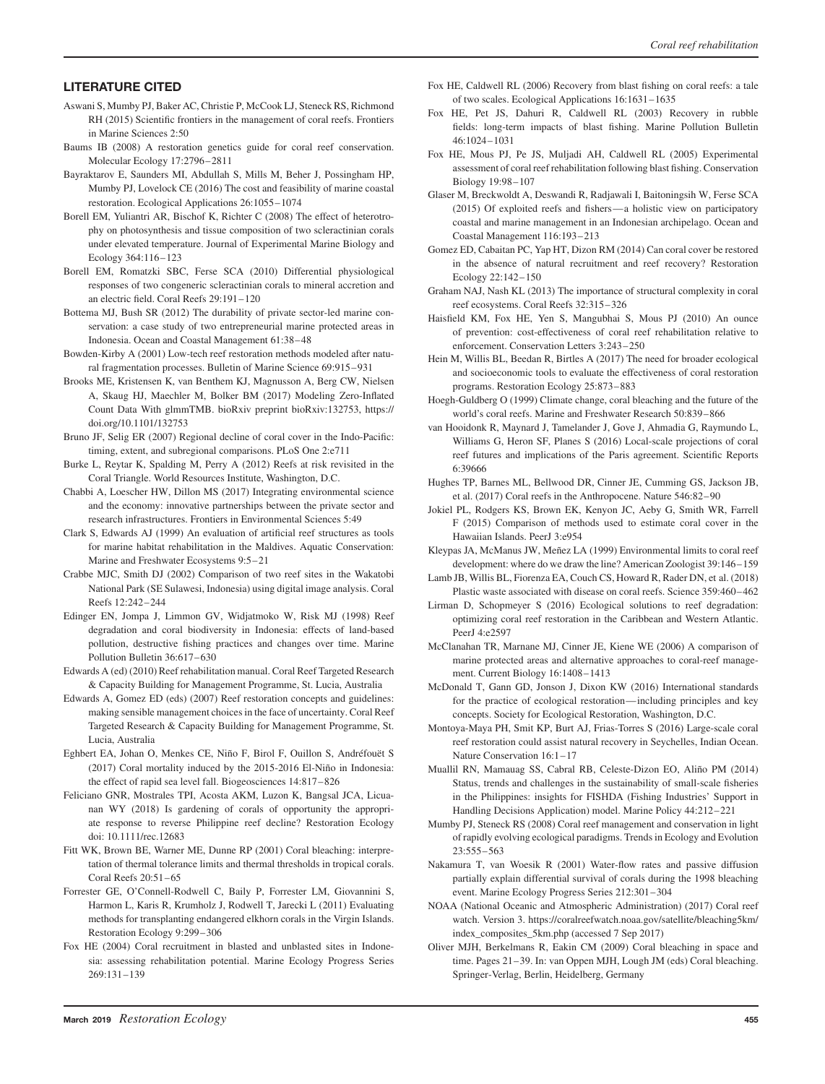### **LITERATURE CITED**

- Aswani S, Mumby PJ, Baker AC, Christie P, McCook LJ, Steneck RS, Richmond RH (2015) Scientific frontiers in the management of coral reefs. Frontiers in Marine Sciences 2:50
- Baums IB (2008) A restoration genetics guide for coral reef conservation. Molecular Ecology 17:2796–2811
- Bayraktarov E, Saunders MI, Abdullah S, Mills M, Beher J, Possingham HP, Mumby PJ, Lovelock CE (2016) The cost and feasibility of marine coastal restoration. Ecological Applications 26:1055–1074
- Borell EM, Yuliantri AR, Bischof K, Richter C (2008) The effect of heterotrophy on photosynthesis and tissue composition of two scleractinian corals under elevated temperature. Journal of Experimental Marine Biology and Ecology 364:116–123
- Borell EM, Romatzki SBC, Ferse SCA (2010) Differential physiological responses of two congeneric scleractinian corals to mineral accretion and an electric field. Coral Reefs 29:191–120
- Bottema MJ, Bush SR (2012) The durability of private sector-led marine conservation: a case study of two entrepreneurial marine protected areas in Indonesia. Ocean and Coastal Management 61:38–48
- Bowden-Kirby A (2001) Low-tech reef restoration methods modeled after natural fragmentation processes. Bulletin of Marine Science 69:915–931
- Brooks ME, Kristensen K, van Benthem KJ, Magnusson A, Berg CW, Nielsen A, Skaug HJ, Maechler M, Bolker BM (2017) Modeling Zero-Inflated Count Data With glmmTMB. bioRxiv preprint bioRxiv:132753, https:// doi.org/10.1101/132753
- Bruno JF, Selig ER (2007) Regional decline of coral cover in the Indo-Pacific: timing, extent, and subregional comparisons. PLoS One 2:e711
- Burke L, Reytar K, Spalding M, Perry A (2012) Reefs at risk revisited in the Coral Triangle. World Resources Institute, Washington, D.C.
- Chabbi A, Loescher HW, Dillon MS (2017) Integrating environmental science and the economy: innovative partnerships between the private sector and research infrastructures. Frontiers in Environmental Sciences 5:49
- Clark S, Edwards AJ (1999) An evaluation of artificial reef structures as tools for marine habitat rehabilitation in the Maldives. Aquatic Conservation: Marine and Freshwater Ecosystems 9:5–21
- Crabbe MJC, Smith DJ (2002) Comparison of two reef sites in the Wakatobi National Park (SE Sulawesi, Indonesia) using digital image analysis. Coral Reefs 12:242–244
- Edinger EN, Jompa J, Limmon GV, Widjatmoko W, Risk MJ (1998) Reef degradation and coral biodiversity in Indonesia: effects of land-based pollution, destructive fishing practices and changes over time. Marine Pollution Bulletin 36:617–630
- Edwards A (ed) (2010) Reef rehabilitation manual. Coral Reef Targeted Research & Capacity Building for Management Programme, St. Lucia, Australia
- Edwards A, Gomez ED (eds) (2007) Reef restoration concepts and guidelines: making sensible management choices in the face of uncertainty. Coral Reef Targeted Research & Capacity Building for Management Programme, St. Lucia, Australia
- Eghbert EA, Johan O, Menkes CE, Niño F, Birol F, Ouillon S, Andréfouët S (2017) Coral mortality induced by the 2015-2016 El-Niño in Indonesia: the effect of rapid sea level fall. Biogeosciences 14:817–826
- Feliciano GNR, Mostrales TPI, Acosta AKM, Luzon K, Bangsal JCA, Licuanan WY (2018) Is gardening of corals of opportunity the appropriate response to reverse Philippine reef decline? Restoration Ecology doi: 10.1111/rec.12683
- Fitt WK, Brown BE, Warner ME, Dunne RP (2001) Coral bleaching: interpretation of thermal tolerance limits and thermal thresholds in tropical corals. Coral Reefs 20:51–65
- Forrester GE, O'Connell-Rodwell C, Baily P, Forrester LM, Giovannini S, Harmon L, Karis R, Krumholz J, Rodwell T, Jarecki L (2011) Evaluating methods for transplanting endangered elkhorn corals in the Virgin Islands. Restoration Ecology 9:299–306
- Fox HE (2004) Coral recruitment in blasted and unblasted sites in Indonesia: assessing rehabilitation potential. Marine Ecology Progress Series 269:131–139
- Fox HE, Caldwell RL (2006) Recovery from blast fishing on coral reefs: a tale of two scales. Ecological Applications 16:1631–1635
- Fox HE, Pet JS, Dahuri R, Caldwell RL (2003) Recovery in rubble fields: long-term impacts of blast fishing. Marine Pollution Bulletin 46:1024–1031
- Fox HE, Mous PJ, Pe JS, Muljadi AH, Caldwell RL (2005) Experimental assessment of coral reef rehabilitation following blast fishing. Conservation Biology 19:98–107
- Glaser M, Breckwoldt A, Deswandi R, Radjawali I, Baitoningsih W, Ferse SCA (2015) Of exploited reefs and fishers—a holistic view on participatory coastal and marine management in an Indonesian archipelago. Ocean and Coastal Management 116:193–213
- Gomez ED, Cabaitan PC, Yap HT, Dizon RM (2014) Can coral cover be restored in the absence of natural recruitment and reef recovery? Restoration Ecology 22:142–150
- Graham NAJ, Nash KL (2013) The importance of structural complexity in coral reef ecosystems. Coral Reefs 32:315–326
- Haisfield KM, Fox HE, Yen S, Mangubhai S, Mous PJ (2010) An ounce of prevention: cost-effectiveness of coral reef rehabilitation relative to enforcement. Conservation Letters 3:243–250
- Hein M, Willis BL, Beedan R, Birtles A (2017) The need for broader ecological and socioeconomic tools to evaluate the effectiveness of coral restoration programs. Restoration Ecology 25:873–883
- Hoegh-Guldberg O (1999) Climate change, coral bleaching and the future of the world's coral reefs. Marine and Freshwater Research 50:839–866
- van Hooidonk R, Maynard J, Tamelander J, Gove J, Ahmadia G, Raymundo L, Williams G, Heron SF, Planes S (2016) Local-scale projections of coral reef futures and implications of the Paris agreement. Scientific Reports 6:39666
- Hughes TP, Barnes ML, Bellwood DR, Cinner JE, Cumming GS, Jackson JB, et al. (2017) Coral reefs in the Anthropocene. Nature 546:82–90
- Jokiel PL, Rodgers KS, Brown EK, Kenyon JC, Aeby G, Smith WR, Farrell F (2015) Comparison of methods used to estimate coral cover in the Hawaiian Islands. PeerJ 3:e954
- Kleypas JA, McManus JW, Meñez LA (1999) Environmental limits to coral reef development: where do we draw the line? American Zoologist 39:146–159
- Lamb JB, Willis BL, Fiorenza EA, Couch CS, Howard R, Rader DN, et al. (2018) Plastic waste associated with disease on coral reefs. Science 359:460–462
- Lirman D, Schopmeyer S (2016) Ecological solutions to reef degradation: optimizing coral reef restoration in the Caribbean and Western Atlantic. PeerJ 4:e2597
- McClanahan TR, Marnane MJ, Cinner JE, Kiene WE (2006) A comparison of marine protected areas and alternative approaches to coral-reef management. Current Biology 16:1408–1413
- McDonald T, Gann GD, Jonson J, Dixon KW (2016) International standards for the practice of ecological restoration—including principles and key concepts. Society for Ecological Restoration, Washington, D.C.
- Montoya-Maya PH, Smit KP, Burt AJ, Frias-Torres S (2016) Large-scale coral reef restoration could assist natural recovery in Seychelles, Indian Ocean. Nature Conservation 16:1–17
- Muallil RN, Mamauag SS, Cabral RB, Celeste-Dizon EO, Aliño PM (2014) Status, trends and challenges in the sustainability of small-scale fisheries in the Philippines: insights for FISHDA (Fishing Industries' Support in Handling Decisions Application) model. Marine Policy 44:212–221
- Mumby PJ, Steneck RS (2008) Coral reef management and conservation in light of rapidly evolving ecological paradigms. Trends in Ecology and Evolution 23:555–563
- Nakamura T, van Woesik R (2001) Water-flow rates and passive diffusion partially explain differential survival of corals during the 1998 bleaching event. Marine Ecology Progress Series 212:301–304
- NOAA (National Oceanic and Atmospheric Administration) (2017) Coral reef watch. Version 3. [https://coralreefwatch.noaa.gov/satellite/bleaching5km/](https://coralreefwatch.noaa.gov/satellite/bleaching5km/index_composites_5km.php) [index\\_composites\\_5km.php](https://coralreefwatch.noaa.gov/satellite/bleaching5km/index_composites_5km.php) (accessed 7 Sep 2017)
- Oliver MJH, Berkelmans R, Eakin CM (2009) Coral bleaching in space and time. Pages 21–39. In: van Oppen MJH, Lough JM (eds) Coral bleaching. Springer-Verlag, Berlin, Heidelberg, Germany